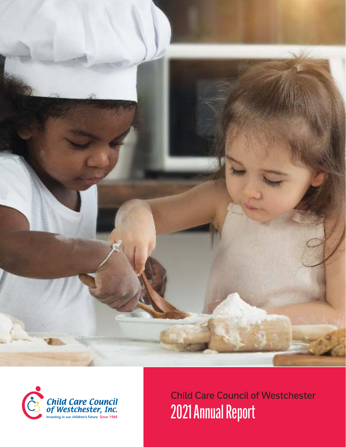



Child Care Council of Westchester 2021 Annual Report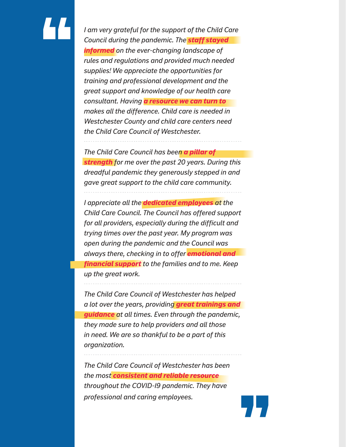# "

*I am very grateful for the support of the Child Care Council during the pandemic. The staff stayed informed on the ever-changing landscape of rules and regulations and provided much needed supplies! We appreciate the opportunities for training and professional development and the great support and knowledge of our health care consultant. Having a resource we can turn to makes all the difference. Child care is needed in Westchester County and child care centers need the Child Care Council of Westchester.* 

*The Child Care Council has been a pillar of strength for me over the past 20 years. During this dreadful pandemic they generously stepped in and gave great support to the child care community.*

*I appreciate all the dedicated employees at the Child Care Council. The Council has offered support for all providers, especially during the difficult and trying times over the past year. My program was open during the pandemic and the Council was always there, checking in to offer emotional and financial support to the families and to me. Keep up the great work.*

*The Child Care Council of Westchester has helped a lot over the years, providing great trainings and guidance at all times. Even through the pandemic, they made sure to help providers and all those in need. We are so thankful to be a part of this organization.*

*The Child Care Council of Westchester has been the most consistent and reliable resource throughout the COVID-19 pandemic. They have professional and caring employees.* "

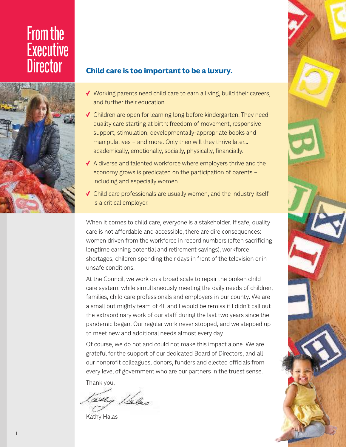# From the Executive<br>Director



#### **Child care is too important to be a luxury.**

- √ Working parents need child care to earn a living, build their careers, and further their education.
- √ Children are open for learning long before kindergarten. They need quality care starting at birth: freedom of movement, responsive support, stimulation, developmentally-appropriate books and manipulatives – and more. Only then will they thrive later… academically, emotionally, socially, physically, financially.
- √ A diverse and talented workforce where employers thrive and the economy grows is predicated on the participation of parents – including and especially women.
- √ Child care professionals are usually women, and the industry itself is a critical employer.

When it comes to child care, everyone is a stakeholder. If safe, quality care is not affordable and accessible, there are dire consequences: women driven from the workforce in record numbers (often sacrificing longtime earning potential and retirement savings), workforce shortages, children spending their days in front of the television or in unsafe conditions.

At the Council, we work on a broad scale to repair the broken child care system, while simultaneously meeting the daily needs of children, families, child care professionals and employers in our county. We are a small but mighty team of 41, and I would be remiss if I didn't call out the extraordinary work of our staff during the last two years since the pandemic began. Our regular work never stopped, and we stepped up to meet new and additional needs almost every day.

Of course, we do not and could not make this impact alone. We are grateful for the support of our dedicated Board of Directors, and all our nonprofit colleagues, donors, funders and elected officials from every level of government who are our partners in the truest sense.

Thank you,

1.le ko-

Kathy Halas

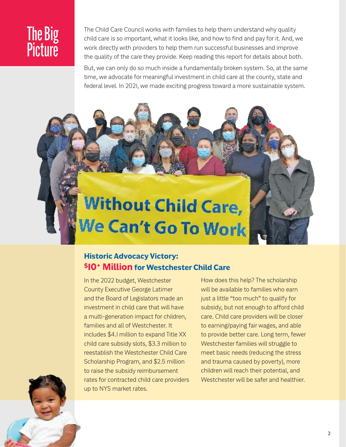# The Big **Picture**

The Child Care Council works with families to help them understand why quality child care is so important, what it looks like, and how to find and pay for it. And, we work directly with providers to help them run successful businesses and improve the quality of the care they provide. Keep reading this report for details about both.

But, we can only do so much inside a fundamentally broken system. So, at the same time, we advocate for meaningful investment in child care at the county, state and federal level. In 2021, we made exciting progress toward a more sustainable system.

# **Without Child Care,** We Can't Go To Work

## **Historic Advocacy Victory: \$10**<sup>+</sup> **Million for Westchester Child Care**

In the 2022 budget, Westchester County Executive George Latimer and the Board of Legislators made an investment in child care that will have a multi-generation impact for children, families and all of Westchester. It includes \$4.1 million to expand Title XX child care subsidy slots, \$3.3 million to reestablish the Westchester Child Care Scholarship Program, and \$2.5 million to raise the subsidy reimbursement rates for contracted child care providers up to NYS market rates.

How does this help? The scholarship will be available to families who earn just a little "too much" to qualify for subsidy, but not enough to afford child care. Child care providers will be closer to earning/paying fair wages, and able to provide better care. Long term, fewer Westchester families will struggle to meet basic needs (reducing the stress and trauma caused by poverty), more children will reach their potential, and Westchester will be safer and healthier.

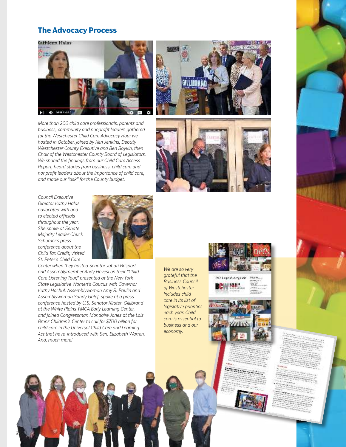#### **The Advocacy Process**



*More than 200 child care professionals, parents and business, community and nonprofit leaders gathered for the Westchester Child Care Advocacy Hour we hosted in October, joined by Ken Jenkins, Deputy Westchester County Executive and Ben Boykin, then Chair of the Westchester County Board of Legislators. We shared the findings from our Child Care Access Report, heard stories from business, child care and nonprofit leaders about the importance of child care, and made our "ask" for the County budget.* 





*Council Executive Director Kathy Halas advocated with and to elected officials throughout the year. She spoke at Senate Majority Leader Chuck Schumer's press conference about the Child Tax Credit, visited St. Peter's Child Care* 



*Center when they hosted Senator Jabari Brisport and Assemblymember Andy Hevesi on their "Child Care Listening Tour," presented at the New York State Legislative Women's Caucus with Governor Kathy Hochul, Assemblywoman Amy R. Paulin and Assemblywoman Sandy Galef, spoke at a press conference hosted by U.S. Senator Kirsten Gillibrand at the White Plains YMCA Early Learning Center, and joined Congressman Mondaire Jones at the Lois Bronz Children's Center to call for \$700 billion for child care in the Universal Child Care and Learning Act that he re-introduced with Sen. Elizabeth Warren. And, much more!* 

*We are so very grateful that the Business Council of Westchester includes child care in its list of legislative priorities each year. Child care is essential to business and our economy.* 









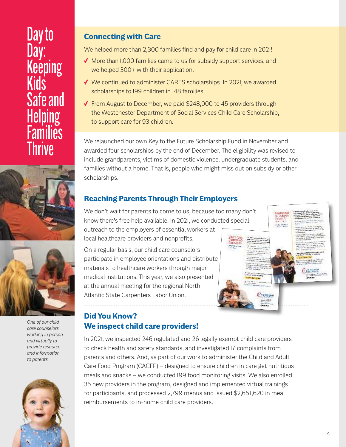# Day to Day: Keeping Kids Safe and Helping *<u>Eamilies</u>* **Thrive**





*One of our child care counselors working in person and virtually to provide resource and information to parents.* 



## **Connecting with Care**

We helped more than 2,300 families find and pay for child care in 2021!

- √ More than 1,000 families came to us for subsidy support services, and we helped 300+ with their application.
- √ We continued to administer CARES scholarships. In 2021, we awarded scholarships to 199 children in 148 families.
- √ From August to December, we paid \$248,000 to 45 providers through the Westchester Department of Social Services Child Care Scholarship, to support care for 93 children.

We relaunched our own Key to the Future Scholarship Fund in November and awarded four scholarships by the end of December. The eligibility was revised to include grandparents, victims of domestic violence, undergraduate students, and families without a home. That is, people who might miss out on subsidy or other scholarships.

## **Reaching Parents Through Their Employers**

We don't wait for parents to come to us, because too many don't know there's free help available. In 2021, we conducted special outreach to the employers of essential workers at local healthcare providers and nonprofits.

On a regular basis, our child care counselors participate in employee orientations and distribute materials to healthcare workers through major medical institutions. This year, we also presented at the annual meeting for the regional North Atlantic State Carpenters Labor Union.



## **Did You Know? We inspect child care providers!**

In 2021, we inspected 246 regulated and 26 legally exempt child care providers to check health and safety standards, and investigated 17 complaints from parents and others. And, as part of our work to administer the Child and Adult Care Food Program (CACFP) – designed to ensure children in care get nutritious meals and snacks – we conducted 199 food monitoring visits. We also enrolled 35 new providers in the program, designed and implemented virtual trainings for participants, and processed 2,799 menus and issued \$2,651,620 in meal reimbursements to in-home child care providers.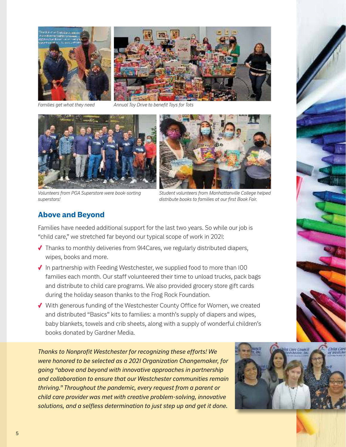

*Families get what they need* 

*Annual Toy Drive to benefit Toys for Tots*





*Volunteers from PGA Superstore were book-sorting superstars!*

*Student volunteers from Manhattanville College helped distribute books to families at our first Book Fair.*

#### **Above and Beyond**

Families have needed additional support for the last two years. So while our job is "child care," we stretched far beyond our typical scope of work in 2021:

- √ Thanks to monthly deliveries from 914Cares, we regularly distributed diapers, wipes, books and more.
- √ In partnership with Feeding Westchester, we supplied food to more than 100 families each month. Our staff volunteered their time to unload trucks, pack bags and distribute to child care programs. We also provided grocery store gift cards during the holiday season thanks to the Frog Rock Foundation.
- √ With generous funding of the Westchester County Office for Women, we created and distributed "Basics" kits to families: a month's supply of diapers and wipes, baby blankets, towels and crib sheets, along with a supply of wonderful children's books donated by Gardner Media.

*Thanks to Nonprofit Westchester for recognizing these efforts! We were honored to be selected as a 2021 Organization Changemaker, for going "above and beyond with innovative approaches in partnership and collaboration to ensure that our Westchester communities remain thriving." Throughout the pandemic, every request from a parent or child care provider was met with creative problem-solving, innovative solutions, and a selfless determination to just step up and get it done.*

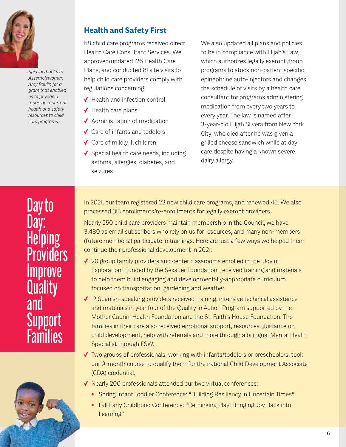

*Special thanks to Assemblywoman Amy Paulin for a grant that enabled us to provide a range of important health and safety resources to child care programs.*

### **Health and Safety First**

58 child care programs received direct Health Care Consultant Services. We approved/updated 126 Health Care Plans, and conducted 81 site visits to help child care providers comply with regulations concerning:

- √ Health and infection control
- √ Health care plans
- √ Administration of medication
- √ Care of infants and toddlers
- √ Care of mildly ill children
- √ Special health care needs, including asthma, allergies, diabetes, and seizures

We also updated all plans and policies to be in compliance with Elijah's Law, which authorizes legally exempt group programs to stock non-patient specific epinephrine auto-injectors and changes the schedule of visits by a health care consultant for programs administering medication from every two years to every year. The law is named after 3-year-old Elijah Silvera from New York City, who died after he was given a grilled cheese sandwich while at day care despite having a known severe dairy allergy.

In 2021, our team registered 23 new child care programs, and renewed 45. We also processed 313 enrollments/re-enrollments for legally exempt providers.

Nearly 250 child care providers maintain membership in the Council, we have 3,480 as email subscribers who rely on us for resources, and many non-members (future members!) participate in trainings. Here are just a few ways we helped them continue their professional development in 2021:

- √ 20 group family providers and center classrooms enrolled in the "Joy of Exploration," funded by the Sexauer Foundation, received training and materials to help them build engaging and developmentally-appropriate curriculum focused on transportation, gardening and weather.
- √ 12 Spanish-speaking providers received training, intensive technical assistance and materials in year four of the Quality in Action Program supported by the Mother Cabrini Health Foundation and the St. Faith's House Foundation. The families in their care also received emotional support, resources, guidance on child development, help with referrals and more through a bilingual Mental Health Specialist through FSW.
- √ Two groups of professionals, working with infants/toddlers or preschoolers, took our 9-month course to qualify them for the national Child Development Associate (CDA) credential.
- √ Nearly 200 professionals attended our two virtual conferences:
	- Spring Infant Toddler Conference: "Building Resiliency in Uncertain Times"
	- Fall Early Childhood Conference: "Rethinking Play: Bringing Joy Back into Learning"

Day to Day: Helping **Providers** Improve **Quality** and **Support Families** 

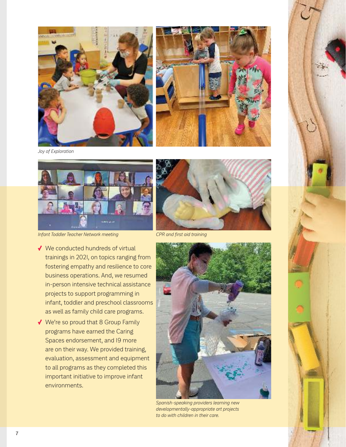



*Joy of Exploration*



*Infant Toddler Teacher Network meeting CPR and first aid training*

- √ We conducted hundreds of virtual trainings in 2021, on topics ranging from fostering empathy and resilience to core business operations. And, we resumed in-person intensive technical assistance projects to support programming in infant, toddler and preschool classrooms as well as family child care programs.
- √ We're so proud that 8 Group Family programs have earned the Caring Spaces endorsement, and 19 more are on their way. We provided training, evaluation, assessment and equipment to all programs as they completed this important initiative to improve infant environments.





*Spanish-speaking providers learning new developmentally-appropriate art projects to do with children in their care.*

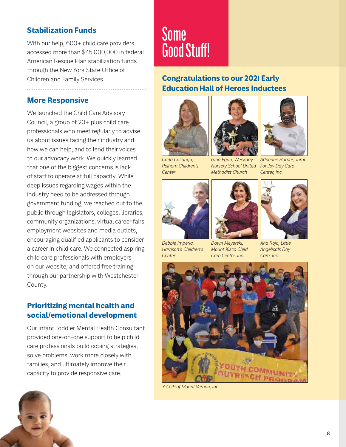## **Stabilization Funds**

With our help, 600+ child care providers accessed more than \$45,000,000 in federal American Rescue Plan stabilization funds through the New York State Office of Children and Family Services.

#### **More Responsive**

We launched the Child Care Advisory Council, a group of 20+ plus child care professionals who meet regularly to advise us about issues facing their industry and how we can help, and to lend their voices to our advocacy work. We quickly learned that one of the biggest concerns is lack of staff to operate at full capacity. While deep issues regarding wages within the industry need to be addressed through government funding, we reached out to the public through legislators, colleges, libraries, community organizations, virtual career fairs, employment websites and media outlets, encouraging qualified applicants to consider a career in child care. We connected aspiring child care professionals with employers on our website, and offered free training through our partnership with Westchester County.

#### **Prioritizing mental health and social/emotional development**

Our Infant Toddler Mental Health Consultant provided one-on-one support to help child care professionals build coping strategies, solve problems, work more closely with families, and ultimately improve their capacity to provide responsive care.



# **Some** Good Stuff!

## **Congratulations to our 2021 Early Education Hall of Heroes Inductees**



*Carla Casanga, Pelham Children's Center*



*Gina Egan, Weekday Nursery School United Methodist Church*



*Adrienne Harper, Jump For Joy Day Care Center, Inc.*



*Debbie Imperia, Harrison's Children's Center*



*Dawn Meyerski, Mount Kisco Child Care Center, Inc.*



*Ana Rojo, Little Angelicals Day Care, Inc.*



*Y-COP of Mount Vernon, Inc.*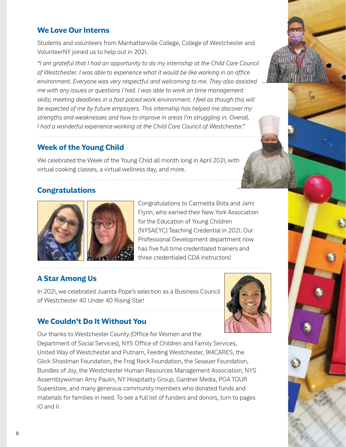## **We Love Our Interns**

Students and volunteers from Manhattanville College, College of Westchester and VolunteerNY joined us to help out in 2021.

*"I am grateful that I had an opportunity to do my internship at the Child Care Council of Westchester. I was able to experience what it would be like working in an office environment. Everyone was very respectful and welcoming to me. They also assisted me with any issues or questions I had. I was able to work on time management skills; meeting deadlines in a fast paced work environment. I feel as though this will be expected of me by future employers. This internship has helped me discover my strengths and weaknesses and how to improve in areas I'm struggling in. Overall, I had a wonderful experience working at the Child Care Council of Westchester."*

#### **Week of the Young Child**

We celebrated the Week of the Young Child all month long in April 2021, with virtual cooking classes, a virtual wellness day, and more.

### **Congratulations**



Congratulations to Carmelita Bota and Jami Flynn, who earned their New York Association for the Education of Young Children (NYSAEYC) Teaching Credential in 2021. Our Professional Development department now has five full time credentialed trainers and three credentialed CDA instructors!

## **A Star Among Us**

In 2021, we celebrated Juanita Pope's selection as a Business Council of Westchester 40 Under 40 Rising Star!



### **We Couldn't Do It Without You**

Our thanks to Westchester County (Office for Women and the Department of Social Services), NYS Office of Children and Family Services, United Way of Westchester and Putnam, Feeding Westchester, 914CARES, the Glick Shoolman Foundation, the Frog Rock Foundation, the Sexauer Foundation, Bundles of Joy, the Westchester Human Resources Management Association, NYS Assemblywoman Amy Paulin, NY Hospitality Group, Gardner Media, PGA TOUR Superstore, and many generous community members who donated funds and materials for families in need. To see a full list of funders and donors, turn to pages 10 and 11.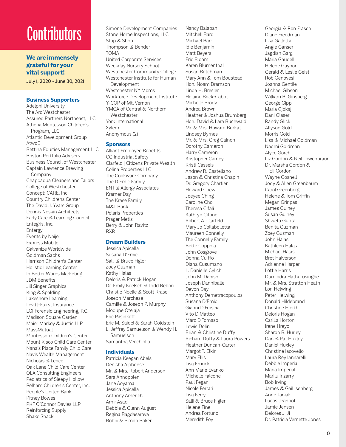# **Contributors**

**We are immensely grateful for your vital support!**

July 1, 2020 - June 30, 2021

#### **Business Supporters**

Adelphi University The Arc Westchester Assured Partners Northeast, LLC Athena Montessori Children's Program, LLC Atlantic Development Group AtwoB Bettina Equities Management LLC Boston Portfolio Advisers Business Council of Westchester Captain Lawrence Brewing Company Chappaqua Cleaners and Tailors College of Westchester Concept: CARE, Inc. Country Childrens Center The David J. Yvars Group Dennis Noskin Architects Early Care & Learning Council Entegris, Inc. Entergy Events by Naijel Express Mobile Galvanize Worldwide Goldman Sachs Harrison Children's Center Holistic Learning Center In Better Words Marketing JDM Benefits Jill Singer Graphics King & Spalding Lakeshore Learning Levitt-Fuirst Insurance LGI Forensic Engineering, P.C. Madison Square Garden Maier Markey & Justic LLP MassMutual Montessori Children's Center Mount Kisco Child Care Center Nana's Place Family Child Care Navis Wealth Management Nicholas & Lence Oak Lane Child Care Center OLA Consulting Engineers Pediatrics of Sleepy Hollow Pelham Children's Center, Inc. People's United Bank Pitney Bowes PKF O'Connor Davies LLP Reinforcing Supply Shake Shack

Simone Development Companies Stone Home Inspections, LLC Stop & Shop Thompson & Bender TOMA United Corporate Services Weekday Nursery School Westchester Community College Westchester Institute for Human Development Westchester NY Moms Workforce Development Institute Y-COP of Mt. Vernon YMCA of Central & Northern Westchester York International Xylem Anonymous (2)

#### **Sponsors**

Alliant Employee Benefits CG Industrial Safety Clarfeld | Citizens Private Wealth Colina Properties LLC The Cookware Company The D'Emic Family ENT & Allergy Associates Kramer Day The Krase Family M&T Bank Polaris Properties Prager Metis Berry & John Ravitz RXR

#### **Dream Builders**

Jessica Apicella Susana D'Emic Salli & Bruce Figler Zoey Guzman Kathy Halas Deloris & Patrick Hogan Dr. Emily Koelsch & Todd Rebori Christie Noelle & Scott Krase Joseph Marchese Camille & Joseph P. Murphy Modupe Otelaja Eric Pasinkoff Eric M. Saidel & Sarah Goldstein L. Jeffrey Samuelson & Wendy H. Samuelson Samantha Vecchiolla

#### **Individuals**

Patricia Keegan Abels Denisha Alphonse Mr. & Mrs. Robert Anderson Sara Annopolen Jane Aoyama Jessica Apicella Anthony Arnerich Amir Asadi Debbie & Glenn August Regina Bagdasarova Bobbi & Simon Baker

Nancy Balaban Mitchell Bard Michael Barr Idie Benjamin Matt Beyers Eric Bloom Karen Blumenthal Susan Botchman Mary Ann & Tom Boustead Hon. Noam Bramson Linda H. Bresler Helaine Brick-Cabot Michelle Brody Andrea Brown Heather & Joshua Brumberg Hon. David & Lara Buchwald Mr. & Mrs. Howard Burkat Lindsey Byrnes Mr. & Mrs. Greg Calnon Dorothy Cameron Harry Cameron Kristopher Carney Kristi Cassels Andrew R. Castellano Jason & Christina Chapin Dr. Gregory Chartier Howard Chew Joeyee Ching Caroline Cho Theresa Cifali Kathryn Cifone Robert A. Clarfeld Mary Jo Collabolletta Maureen Connelly The Connelly Family Bette Coppola John Cosgrove Donna Cuiffo Diana Cusumano L. Danielle Cylich John M. Danish Joseph Danniballe Devon Day Anthony Demetracopoulos Susana D'Emic Gianni DiFroscia Vito DiMatteo Marc DiTomaso Lewis Dolin Brian & Christine Duffy Richard Duffy & Laura Powers Heather Duncan-Carter Margot T. Elkin Mary Ellis Lisa Emrick Ann Marie Evanko Michelle Falcone Paul Fegan Nicole Ferrari Lisa Ferry Salli & Bruce Figler Helene Fine Andrea Fortuno Meredith Foy

Georgia & Ron Frasch Diane Freedman Lisa Galletta Angie Ganser Jagdish Garg Maria Gaudelli Helene Gaynor Gerald & Leslie Geist Rob Genovesi Joanna Gentile Michael Gibson William B. Ginsberg George Gipp Maria Gjokaj Dani Glaser Randy Glick Allyson Gold Morris Gold Lisa & Michael Goldman Naomi Goldman Alyce Gorch Liz Gordon & Neil Lowenbraun Dr. Marsha Gordon & Eli Gordon Wayne Gosnell Jody & Allen Greenbaum Carol Greenberg Helene & Tom Griffin Megan Grinpas James Guiney Susan Guiney Shweta Gupta Benita Guzman Zoey Guzman John Halas Kathleen Halas Michael Halas Bret Halverson Adrienne Harper Lottie Harris Dumindra Hathurusinghe Mr. & Mrs. Stratton Heath Lori Helwing Peter Helwing Donald Hildebrand Christine Hjorth Deloris Hogan CarlLa Horton Irene Hreyo Sharon B. Hurley Dan & Pat Huxley Daniel Huxley Christine Iacovello Laura Rey Iannarelli Debbie Imperia Maria Imperial Marilu Irizarry Bob Irving James & Gail Isenberg Anne Janiak Lucas Jeannot Jamie Jensen Delores Ji Ji Dr. Patricia Vernette Jones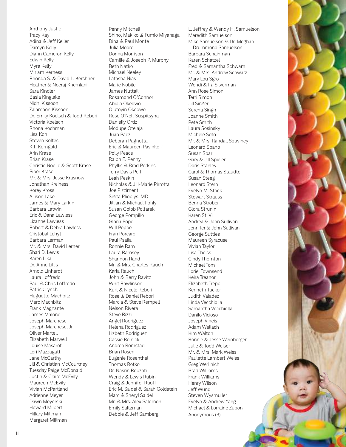Anthony Justic Tracy Kay Adina & Jeff Keller Damyn Kelly Diann Cameron Kelly Edwin Kelly Myra Kelly Miriam Kerness Rhonda S. & David L. Kershner Heather & Neeraj Khemlani Sara Kindler Basia Kinglake Nidhi Kissoon Zalamoon Kissoon Dr. Emily Koelsch & Todd Rebori Victoria Koelsch Rhona Kochman Lisa Koh Steven Koltes K.T. Korngold Arin Krase Brian Krase Christie Noelle & Scott Krase Piper Krase Mr. & Mrs. Jesse Krasnow Jonathan Kreiness Korey Kross Allison Lake James & Mary Larkin Barbara Latwin Eric & Dana Lawless Lizanne Lawless Robert & Debra Lawless Cristóbal Lehyt Barbara Lerman Mr. & Mrs. David Lerner Shari D. Lewis Karen Lika Dr. Anne Lillis Arnold Linhardt Laura Loffredo Paul & Chris Loffredo Patrick Lynch Huguette Machbitz Marc Machbitz Frank Magnante James Malone Joseph Marchese Joseph Marchese, Jr. Oliver Martell Elizabeth Marwell Louise Masarof Lori Mazzagatti Jane McCarthy Jill & Christian McCourtney Tuesday Paige McDonald Justin & Claire McEvily Maureen McEvily Vivian McPartland Adrienne Meyer Dawn Meyerski Howard Milbert Hillary Millman Margaret Millman

Penny Mitchell Shiho, Makiko & Fumio Miyanaga Dina & Paul Monte Julia Moore Donna Morrison Camille & Joseph P. Murphy Beth Natko Michael Neeley Latasha Nias Marie Nobile James Nuttall Rosamond O'Connor Abiola Okeowo Olutoyin Okeowo Rose O'Nell-Suspitsyna Danielly Ortiz Modupe Otelaja Juan Paez Deborah Pagnotta Eric & Maureen Pasinkoff Polly Peace Ralph E. Penny Phyllis & Brad Perkins Terry Davis Perl Leah Peskin Nicholas & Jill-Marie Pirrotta Joe Pizzimenti Sigita Plioplys, MD Jillian & Michael Pohly Susan Golob Poltarak George Pompilio Gloria Pope Will Poppe Fran Porcaro Paul Psaila Ronnie Ram Laura Ramsey Shannon Rand Mr. & Mrs. Charles Rauch Karla Rauch John & Berry Ravitz Whit Rawlinson Kurt & Nicole Rebori Rose & Daniel Rebori Marcia & Steve Rempell Nelson Rivera Steve Rizzi Angel Rodriguez Helena Rodriguez Lizbeth Rodriguez Cassie Rolnick Andrea Romstad Brian Rosen Eugenie Rosenthal Thomas Rotko Dr. Nasrin Rouzati Wendy & Lewis Rubin Craig & Jennifer Ruoff Eric M. Saidel & Sarah Goldstein Marc & Sheryl Saidel Mr. & Mrs. Alex Salomon Emily Saltzman Debbie & Jeff Samberg

L. Jeffrey & Wendy H. Samuelson Meredith Samuelson Mike Samuelson & Dr. Meghan Drummond Samuelson Barbara Schainman Karen Schatzel Fred & Samantha Schwam Mr. & Mrs. Andrew Schwarz Mary Lou Sgro Wendi & Ira Silverman Ann Rose Simon Terri Simon Jill Singer Serena Singh Joanne Smith Pete Smith Laura Sosinsky Michele Soto Mr. & Mrs. Randall Souviney Leonard Spano Susan Spar Gary & Jill Spieler Doris Stanley Carol & Thomas Staudter Susan Steeg Leonard Stern Evelyn M. Stock Stewart Strauss Benna Strober Glora Strunin Karen St. Vil Andrea & John Sullivan Jennifer & John Sullivan George Suttles Maureen Syracuse Vivian Taylor Lisa Theiss Cindy Thornton Michael Tom Loriel Townsend Keira Treanor Elizabeth Trepp Kenneth Tucker Judith Valadez Linda Vecchiolla Samantha Vecchiolla Danilo Vicioso Joseph Vineis Adam Wallach Kim Walton Ronnie & Jesse Weinberger Julie & Todd Weiser Mr. & Mrs. Mark Weiss Paulette Lambert Weiss Greg Werlinich Brad Williams Frank Williams Henry Wilson Jeff Wund Steven Wysmuller Evelyn & Andrew Yang Michael & Lorraine Zupon Anonymous (3)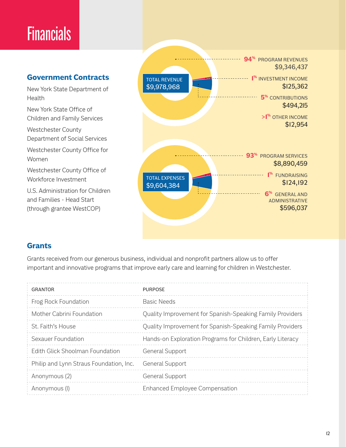# **Financials**

#### **Government Contracts**

New York State Department of Health

New York State Office of Children and Family Services

Westchester County Department of Social Services

Westchester County Office for Women

Westchester County Office of Workforce Investment

U.S. Administration for Children and Families - Head Start (through grantee WestCOP)



### **Grants**

Grants received from our generous business, individual and nonprofit partners allow us to offer important and innovative programs that improve early care and learning for children in Westchester.

| <b>GRANTOR</b>                          | <b>PURPOSE</b>                                             |
|-----------------------------------------|------------------------------------------------------------|
| Frog Rock Foundation                    | Basic Needs                                                |
| Mother Cabrini Foundation               | Quality Improvement for Spanish-Speaking Family Providers  |
| St. Faith's House                       | Quality Improvement for Spanish-Speaking Family Providers  |
| Sexauer Foundation                      | Hands-on Exploration Programs for Children, Early Literacy |
| <b>Fdith Glick Shoolman Foundation</b>  | <b>General Support</b>                                     |
| Philip and Lynn Straus Foundation, Inc. | <b>General Support</b>                                     |
| Anonymous (2)                           | <b>General Support</b>                                     |
| Anonymous (I)                           | <b>Enhanced Employee Compensation</b>                      |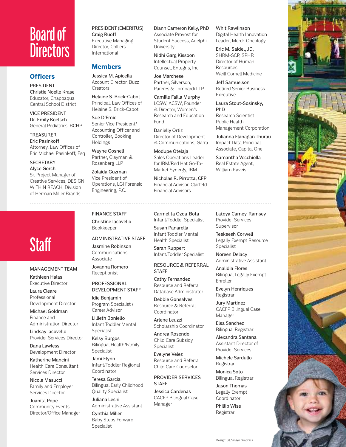# Board of **Directors**

#### **Officers**

PRESIDENT Christie Noelle Krase Educator, Chappaqua Central School District

VICE PRESIDENT Dr. Emily Koelsch General Pediatrics, BCHP

#### TREASURER Eric Pasinkoff Attorney, Law Offices of Eric Michael Pasinkoff, Esq

**SECRETARY** Alyce Gorch Sr. Project Manager of Creative Services, DESIGN WITHIN REACH, Division

of Herman Miller Brands

# Staff

## MANAGEMENT TEAM

Kathleen Halas Executive Director

Laura Cleare Professional Development Director

Michael Goldman Finance and Administration Director

Lindsay Iacovello Provider Services Director

Dana Lawless Development Director

Katherine Mancini Health Care Consultant Services Director

Nicole Masucci Family and Employer Services Director

Juanita Pope Community Events Director/Office Manager PRESIDENT (EMERITUS) Craig Ruoff Executive Managing Director, Colliers International

#### **Members**

Jessica M. Apicella Account Director, Buzz **Creators** 

Helaine S. Brick-Cabot Principal, Law Offices of Helaine S. Brick-Cabot

Sue D'Emic Senior Vice President/ Accounting Officer and Controller, Booking Holdings

Wayne Gosnell Partner, Clayman & Rosenberg LLP

Zolaida Guzman Vice President of Operations, LGI Forensic Engineering, P.C.

#### FINANCE STAFF Christine Iacovello

Bookkeeper

ADMINISTRATIVE STAFF

Jasmine Robinson Communications Associate

Jovanna Romero Receptionist

#### PROFESSIONAL DEVELOPMENT STAFF

Idie Benjamin Program Specialist / Career Advisor

Lillieth Boniello Infant Toddler Mental

Kelsy Burgos Bilingual Health/Family Specialist

Jami Flynn Coordinator

Teresa Garcia Bilingual Early Childhood Quality Specialist

Juliana Leshi Administrative Assistant

Cynthia Miller Baby Steps Forward Specialist

Diann Cameron Kelly, PhD Associate Provost for Student Success, Adelphi University

Nidhi Garg Kissoon Intellectual Property Counsel, Entegris, Inc.

Joe Marchese Partner, Silverson, Pareres & Lombardi LLP

Camille Failla Murphy LCSW, ACSW, Founder & Director, Women's Research and Education Fund

Danielly Ortiz Director of Development & Communications, Garra

Modupe Otelaja Sales Operations Leader for IBM/Red Hat Go-To-Market Synergy, IBM

Nicholas R. Pirrotta, CFP Financial Advisor, Clarfeld Financial Advisors

Carmelita Ozoa-Bota Infant/Toddler Specialist Susan Panarella

Infant Toddler Mental Health Specialist

Sarah Ruppert Infant/Toddler Specialist

RESOURCE & REFERRAL

Cathy Fernandez Resource and Referral Database Administrator

Debbie Gonsalves Resource & Referral Coordinator

Arlene Leuzzi Scholarship Coordinator

Andrea Rosendo Child Care Subsidy Specialist

Evelyne Velez Resource and Referral Child Care Counselor

PROVIDER SERVICES **STAFF** 

Jessica Cardenas CACFP Bilingual Case Manager

Whit Rawlinson Digital Health Innovation Leader, Merck Oncology

Eric M. Saidel, JD, SHRM-SCP, SPHR Director of Human

Julianna Flanagan Thurau

Administrative Assistant Analidia Flores

Bilingual Legally Exempt Enroller

Evelyn Henriques Registrar

Jury Martinez CACFP Bilingual Case Manager

Elsa Sanchez Bilingual Registrar

Alexandra Santana Assistant Director of Provider Services

Michele Sardullo Registrar

Monica Soto Bilingual Registrar

Jason Thomas Legally Exempt Coordinator

Phillip Wise Registrar

Resources Weill Cornell Medicine Jeff Samuelson Retired Senior Business Executive Laura Stout-Sosinsky, PhD Research Scientist Public Health Management Corporation Impact Data Principal Associate, Capital One Samantha Vecchiolla Real Estate Agent, William Raveis Latoya Carney-Ramsey Provider Services Supervisor Teekeesh Corwell Legally Exempt Resource Specialist Noreen Delacy



STAFF

Specialist

Infant/Toddler Regional